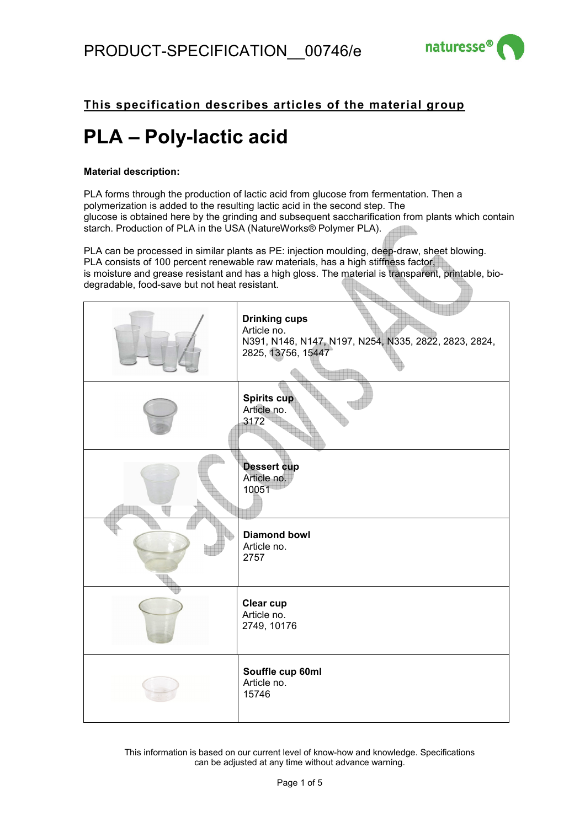

**This specification describes articles of the material group**

# **PLA – Poly-lactic acid**

#### **Material description:**

PLA forms through the production of lactic acid from glucose from fermentation. Then a polymerization is added to the resulting lactic acid in the second step. The glucose is obtained here by the grinding and subsequent saccharification from plants which contain starch. Production of PLA in the USA (NatureWorks® Polymer PLA).

PLA can be processed in similar plants as PE: injection moulding, deep-draw, sheet blowing. PLA consists of 100 percent renewable raw materials, has a high stiffness factor, is moisture and grease resistant and has a high gloss. The material is transparent, printable, biodegradable, food-save but not heat resistant.

| <b>Drinking cups</b><br>Article no.<br>N391, N146, N147, N197, N254, N335, 2822, 2823, 2824,<br>2825, 13756, 15447 |
|--------------------------------------------------------------------------------------------------------------------|
| <b>Spirits cup</b><br>Article no.<br>3172                                                                          |
| <b>Dessert cup</b><br>Article no.<br>10051                                                                         |
| <b>Diamond bowl</b><br>Article no.<br>2757                                                                         |
| Clear cup<br>Article no.<br>2749, 10176                                                                            |
| Souffle cup 60ml<br>Article no.<br>15746                                                                           |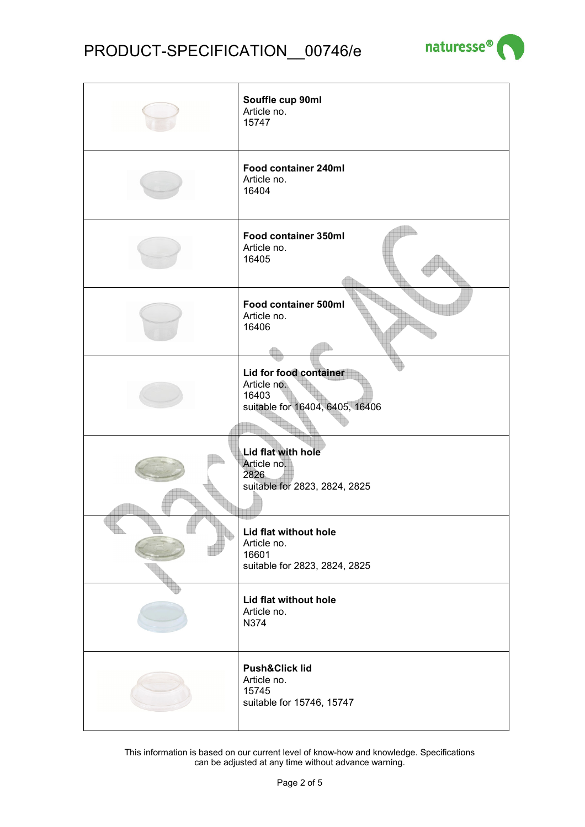## PRODUCT-SPECIFICATION\_\_00746/e



| Souffle cup 90ml<br>Article no.<br>15747                                          |
|-----------------------------------------------------------------------------------|
| Food container 240ml<br>Article no.<br>16404                                      |
| Food container 350ml<br>Article no.<br>16405                                      |
| Food container 500ml<br>Article no.<br>16406                                      |
| Lid for food container<br>Article no.<br>16403<br>suitable for 16404, 6405, 16406 |
| Lid flat with hole<br>Article no.<br>2826<br>suitable for 2823, 2824, 2825        |
| Lid flat without hole<br>Article no.<br>16601<br>suitable for 2823, 2824, 2825    |
| Lid flat without hole<br>Article no.<br>N374                                      |
| <b>Push&amp;Click lid</b><br>Article no.<br>15745<br>suitable for 15746, 15747    |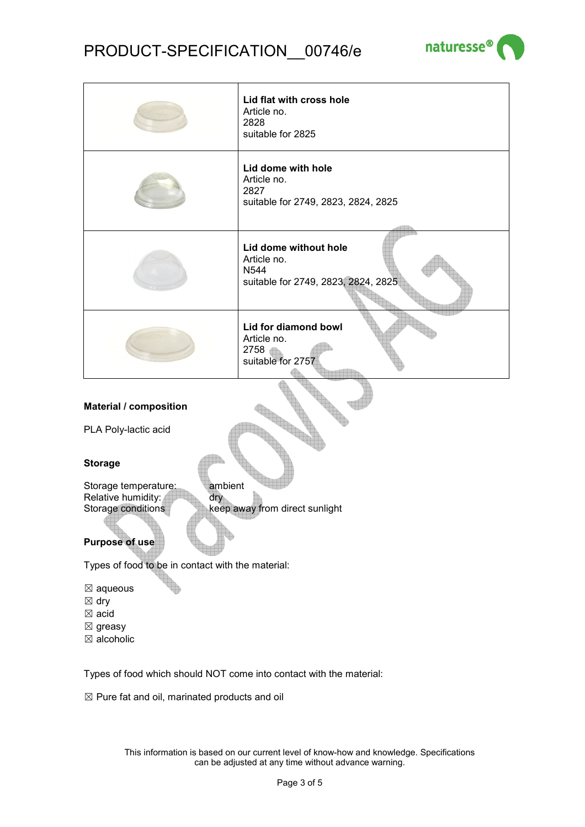### PRODUCT-SPECIFICATION\_\_00746/e



|                                                                                   | Lid flat with cross hole<br>Article no.<br>2828<br>suitable for 2825                |  |
|-----------------------------------------------------------------------------------|-------------------------------------------------------------------------------------|--|
|                                                                                   | Lid dome with hole<br>Article no.<br>2827<br>suitable for 2749, 2823, 2824, 2825    |  |
|                                                                                   | Lid dome without hole<br>Article no.<br>N544<br>suitable for 2749, 2823, 2824, 2825 |  |
|                                                                                   | Lid for diamond bowl<br>Article no.<br>2758<br>suitable for 2757                    |  |
| <b>Material / composition</b>                                                     |                                                                                     |  |
| PLA Poly-lactic acid                                                              |                                                                                     |  |
| <b>Storage</b>                                                                    |                                                                                     |  |
| ambient<br>Storage temperature:                                                   |                                                                                     |  |
| Relative humidity:<br>dry<br>Storage conditions<br>keep away from direct sunlight |                                                                                     |  |
| <b>Purpose of use</b>                                                             |                                                                                     |  |
| Types of food to be in contact with the material:                                 |                                                                                     |  |
| $\boxtimes$ aqueous                                                               |                                                                                     |  |
| $\boxtimes$ dry                                                                   |                                                                                     |  |
| $\boxtimes$ acid                                                                  |                                                                                     |  |
| $\boxtimes$ greasy                                                                |                                                                                     |  |
| $\boxtimes$ alcoholic                                                             |                                                                                     |  |

Types of food which should NOT come into contact with the material:

☒ Pure fat and oil, marinated products and oil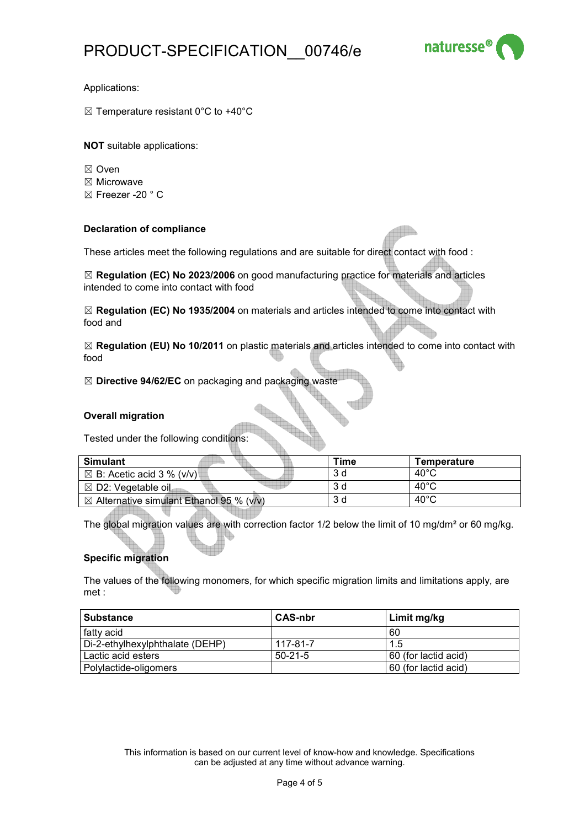

The S

#### Applications:

 $\boxtimes$  Temperature resistant 0°C to +40°C

**NOT** suitable applications:

- ☒ Oven
- ☒ Microwave
- ☒ Freezer -20 ° C

#### **Declaration of compliance**

These articles meet the following regulations and are suitable for direct contact with food :

☒ **Regulation (EC) No 2023/2006** on good manufacturing practice for materials and articles intended to come into contact with food

☒ **Regulation (EC) No 1935/2004** on materials and articles intended to come into contact with food and

☒ **Regulation (EU) No 10/2011** on plastic materials and articles intended to come into contact with food

☒ **Directive 94/62/EC** on packaging and packaging waste

#### **Overall migration**

Tested under the following conditions:

| <b>Simulant</b>                                     | Time | Temperature    |
|-----------------------------------------------------|------|----------------|
| $\boxtimes$ B: Acetic acid 3 % (v/v)                | 3 d  | $40^{\circ}$ C |
| ⊠ D2: Vegetable oiL                                 | 3 d  | $40^{\circ}$ C |
| $\boxtimes$ Alternative simulant Ethanol 95 % (v/v) | 3 d  | $40^{\circ}$ C |

The global migration values are with correction factor 1/2 below the limit of 10 mg/dm² or 60 mg/kg.

### **Specific migration**

The values of the following monomers, for which specific migration limits and limitations apply, are met :

| <b>Substance</b>                | <b>CAS-nbr</b> | Limit mg/kg          |
|---------------------------------|----------------|----------------------|
| I fatty acid                    |                | 60                   |
| Di-2-ethylhexylphthalate (DEHP) | 117-81-7       | 1.5                  |
| Lactic acid esters              | $50-21-5$      | 60 (for lactid acid) |
| Polylactide-oligomers           |                | 60 (for lactid acid) |